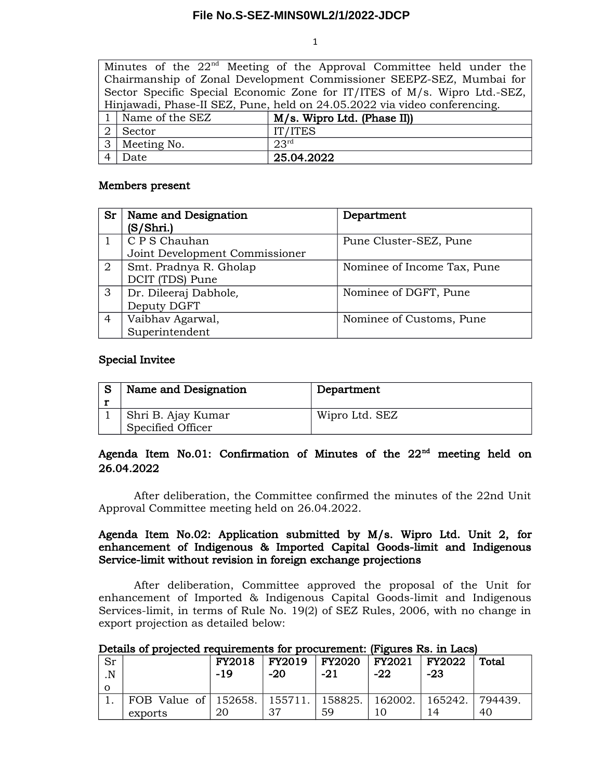### **File No.S-SEZ-MINS0WL2/1/2022-JDCP**

1

|                                                                      |                                                                           | Minutes of the $22nd$ Meeting of the Approval Committee held under the    |  |  |  |  |  |  |
|----------------------------------------------------------------------|---------------------------------------------------------------------------|---------------------------------------------------------------------------|--|--|--|--|--|--|
| Chairmanship of Zonal Development Commissioner SEEPZ-SEZ, Mumbai for |                                                                           |                                                                           |  |  |  |  |  |  |
|                                                                      | Sector Specific Special Economic Zone for IT/ITES of M/s. Wipro Ltd.-SEZ, |                                                                           |  |  |  |  |  |  |
|                                                                      |                                                                           | Hinjawadi, Phase-II SEZ, Pune, held on 24.05.2022 via video conferencing. |  |  |  |  |  |  |
|                                                                      | 1 Name of the SEZ<br>M/s. Wipro Ltd. (Phase II)                           |                                                                           |  |  |  |  |  |  |
|                                                                      | IT/ITES<br>Sector                                                         |                                                                           |  |  |  |  |  |  |
|                                                                      | 23 <sup>rd</sup><br>3 Meeting No.                                         |                                                                           |  |  |  |  |  |  |
|                                                                      | Date                                                                      | 25.04.2022                                                                |  |  |  |  |  |  |

## Members present

| Sr             | Name and Designation<br>(S/Shri.)               | Department                  |
|----------------|-------------------------------------------------|-----------------------------|
|                | C P S Chauhan<br>Joint Development Commissioner | Pune Cluster-SEZ, Pune      |
| $\overline{2}$ | Smt. Pradnya R. Gholap<br>DCIT (TDS) Pune       | Nominee of Income Tax, Pune |
| 3              | Dr. Dileeraj Dabhole,<br>Deputy DGFT            | Nominee of DGFT, Pune       |
| $\overline{4}$ | Vaibhav Agarwal,<br>Superintendent              | Nominee of Customs, Pune    |

### Special Invitee

| Name and Designation                                 | Department     |
|------------------------------------------------------|----------------|
| <sub>ı</sub> Shri B. Ajay Kumar<br>Specified Officer | Wipro Ltd. SEZ |

# Agenda Item No.01: Confirmation of Minutes of the 22<sup>nd</sup> meeting held on 26.04.2022

After deliberation, the Committee confirmed the minutes of the 22nd Unit Approval Committee meeting held on 26.04.2022.

# Agenda Item No.02: Application submitted by M/s. Wipro Ltd. Unit 2, for enhancement of Indigenous & Imported Capital Goods-limit and Indigenous Service-limit without revision in foreign exchange projections

After deliberation, Committee approved the proposal of the Unit for enhancement of Imported & Indigenous Capital Goods-limit and Indigenous Services-limit, in terms of Rule No. 19(2) of SEZ Rules, 2006, with no change in export projection as detailed below:

|  | Details of projected requirements for procurement: (Figures Rs. in Lacs) |  |
|--|--------------------------------------------------------------------------|--|
|  |                                                                          |  |

| Sr<br>$\overline{\mathbf{N}}$ |                                                                | FY2018<br>-19 | $-20$ | FY2019   FY2020   FY2021   FY2022<br>$-21$ | -22 | $-23$ | <b>Total</b> |
|-------------------------------|----------------------------------------------------------------|---------------|-------|--------------------------------------------|-----|-------|--------------|
| O                             |                                                                |               |       |                                            |     |       |              |
|                               | FOB Value of   152658.   155711.   158825.   162002.   165242. |               |       |                                            |     |       | 794439.      |
|                               | exports                                                        | 20            | 37    | 59                                         |     | 14    | 40           |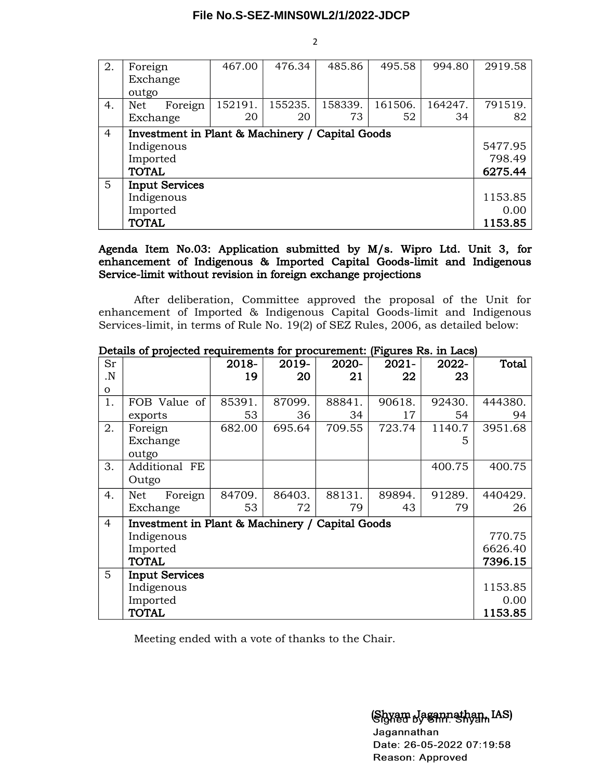#### **File No.S-SEZ-MINS0WL2/1/2022-JDCP**

| 2.             | Foreign                                         | 467.00  | 476.34  | 485.86  | 495.58  | 994.80  | 2919.58 |
|----------------|-------------------------------------------------|---------|---------|---------|---------|---------|---------|
|                | Exchange                                        |         |         |         |         |         |         |
|                | outgo                                           |         |         |         |         |         |         |
| 4.             | Foreign<br>Net                                  | 152191. | 155235. | 158339. | 161506. | 164247. | 791519. |
|                | Exchange                                        | 20      | 20      | 73      | 52      | 34      | 82      |
| $\overline{4}$ | Investment in Plant & Machinery / Capital Goods |         |         |         |         |         |         |
|                | Indigenous                                      |         |         |         |         |         |         |
|                | Imported                                        |         |         |         |         |         |         |
|                | <b>TOTAL</b>                                    |         |         |         |         |         | 6275.44 |
| 5              | <b>Input Services</b>                           |         |         |         |         |         |         |
|                | Indigenous                                      |         |         |         |         |         | 1153.85 |
|                | Imported                                        |         |         |         |         |         | 0.00    |
|                | <b>TOTAL</b>                                    |         |         |         |         |         | 1153.85 |

Agenda Item No.03: Application submitted by M/s. Wipro Ltd. Unit 3, for enhancement of Indigenous & Imported Capital Goods-limit and Indigenous Service-limit without revision in foreign exchange projections

After deliberation, Committee approved the proposal of the Unit for enhancement of Imported & Indigenous Capital Goods-limit and Indigenous Services-limit, in terms of Rule No. 19(2) of SEZ Rules, 2006, as detailed below:

| Sr             |                                                 | 2018-  | 2019-  | 2020-  | $2021 -$ | 2022-  | Total   |
|----------------|-------------------------------------------------|--------|--------|--------|----------|--------|---------|
| N.             |                                                 | 19     | 20     | 21     | 22       | 23     |         |
| $\mathbf{O}$   |                                                 |        |        |        |          |        |         |
| 1.             | FOB Value of                                    | 85391. | 87099. | 88841. | 90618.   | 92430. | 444380. |
|                | exports                                         | 53     | 36     | 34     | 17       | 54     | 94      |
| 2.             | Foreign                                         | 682.00 | 695.64 | 709.55 | 723.74   | 1140.7 | 3951.68 |
|                | Exchange                                        |        |        |        |          | 5      |         |
|                | outgo                                           |        |        |        |          |        |         |
| 3.             | Additional FE                                   |        |        |        |          | 400.75 | 400.75  |
|                | Outgo                                           |        |        |        |          |        |         |
| 4.             | Foreign<br><b>Net</b>                           | 84709. | 86403. | 88131. | 89894.   | 91289. | 440429. |
|                | Exchange                                        | 53     | 72     | 79     | 43       | 79     | 26      |
| $\overline{4}$ | Investment in Plant & Machinery / Capital Goods |        |        |        |          |        |         |
|                | Indigenous                                      |        |        |        |          |        | 770.75  |
|                | Imported                                        |        |        |        |          |        | 6626.40 |
|                | <b>TOTAL</b>                                    |        |        |        |          |        | 7396.15 |
| 5              | <b>Input Services</b>                           |        |        |        |          |        |         |
|                | Indigenous                                      |        |        |        |          |        | 1153.85 |
|                | Imported                                        |        |        |        |          |        | 0.00    |
|                | <b>TOTAL</b>                                    |        |        |        |          |        | 1153.85 |

Details of projected requirements for procurement: (Figures Rs. in Lacs)

Meeting ended with a vote of thanks to the Chair.

(Shyam Jagannathan, IAS)

Jagannathan Date: 26-05-2022 07:19:58 Reason: Approved

2